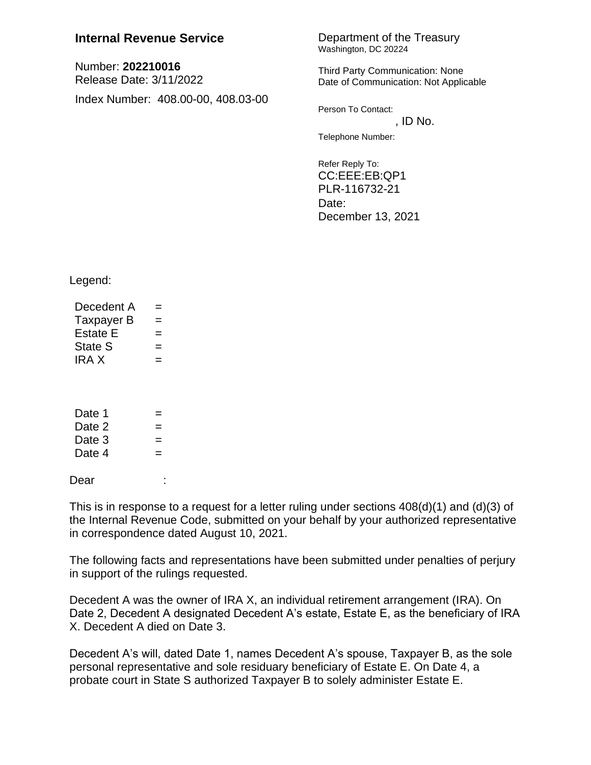## **Internal Revenue Service Department of the Treasury**

Number: **202210016** Release Date: 3/11/2022 Index Number: 408.00-00, 408.03-00 Washington, DC 20224

Third Party Communication: None Date of Communication: Not Applicable

Person To Contact:  $,$  ID No.

Telephone Number:

Refer Reply To: CC:EEE:EB:QP1 PLR-116732-21 Date: December 13, 2021

Legend:

| Decedent A  | $=$ |  |  |  |
|-------------|-----|--|--|--|
| Taxpayer B  | $=$ |  |  |  |
| Estate E    | $=$ |  |  |  |
| State S     | $=$ |  |  |  |
| <b>IRAX</b> | $=$ |  |  |  |
|             |     |  |  |  |

| Date 1 | $=$ |
|--------|-----|
| Date 2 | $=$ |
| Date 3 | $=$ |
| Date 4 | $=$ |
|        |     |

Dear :

This is in response to a request for a letter ruling under sections  $408(d)(1)$  and  $(d)(3)$  of the Internal Revenue Code, submitted on your behalf by your authorized representative in correspondence dated August 10, 2021.

The following facts and representations have been submitted under penalties of perjury in support of the rulings requested.

Decedent A was the owner of IRA X, an individual retirement arrangement (IRA). On Date 2, Decedent A designated Decedent A's estate, Estate E, as the beneficiary of IRA X. Decedent A died on Date 3.

Decedent A's will, dated Date 1, names Decedent A's spouse, Taxpayer B, as the sole personal representative and sole residuary beneficiary of Estate E. On Date 4, a probate court in State S authorized Taxpayer B to solely administer Estate E.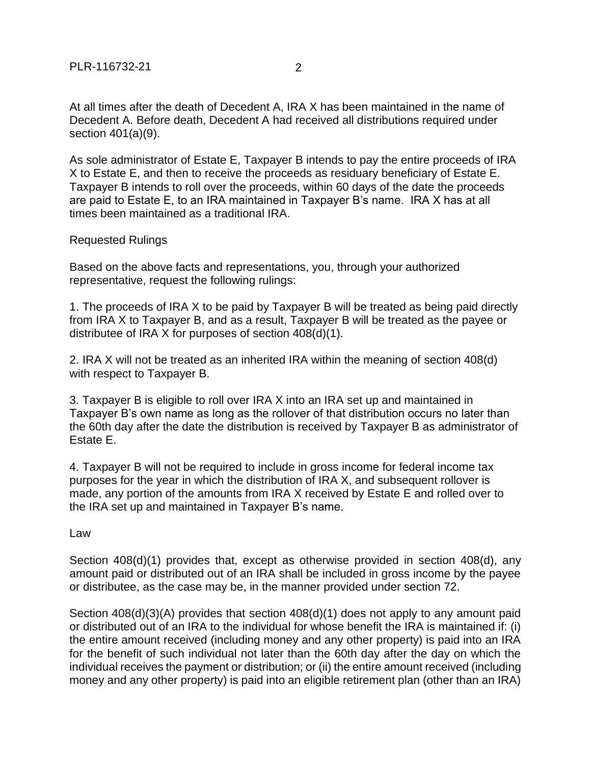At all times after the death of Decedent A, IRA X has been maintained in the name of Decedent A. Before death, Decedent A had received all distributions required under section 401(a)(9).

As sole administrator of Estate E, Taxpayer B intends to pay the entire proceeds of IRA X to Estate E, and then to receive the proceeds as residuary beneficiary of Estate E. Taxpayer B intends to roll over the proceeds, within 60 days of the date the proceeds are paid to Estate E, to an IRA maintained in Taxpayer B's name. IRA X has at all times been maintained as a traditional IRA.

## Requested Rulings

Based on the above facts and representations, you, through your authorized representative, request the following rulings:

1. The proceeds of IRA X to be paid by Taxpayer B will be treated as being paid directly from IRA X to Taxpayer B, and as a result, Taxpayer B will be treated as the payee or distributee of IRA X for purposes of section 408(d)(1).

2. IRA X will not be treated as an inherited IRA within the meaning of section 408(d) with respect to Taxpayer B.

3. Taxpayer B is eligible to roll over IRA X into an IRA set up and maintained in Taxpayer B's own name as long as the rollover of that distribution occurs no later than the 60th day after the date the distribution is received by Taxpayer B as administrator of Estate E.

4. Taxpayer B will not be required to include in gross income for federal income tax purposes for the year in which the distribution of IRA X, and subsequent rollover is made, any portion of the amounts from IRA X received by Estate E and rolled over to the IRA set up and maintained in Taxpayer B's name.

Law

Section 408(d)(1) provides that, except as otherwise provided in section 408(d), any amount paid or distributed out of an IRA shall be included in gross income by the payee or distributee, as the case may be, in the manner provided under section 72.

Section 408(d)(3)(A) provides that section 408(d)(1) does not apply to any amount paid or distributed out of an IRA to the individual for whose benefit the IRA is maintained if: (i) the entire amount received (including money and any other property) is paid into an IRA for the benefit of such individual not later than the 60th day after the day on which the individual receives the payment or distribution; or (ii) the entire amount received (including money and any other property) is paid into an eligible retirement plan (other than an IRA)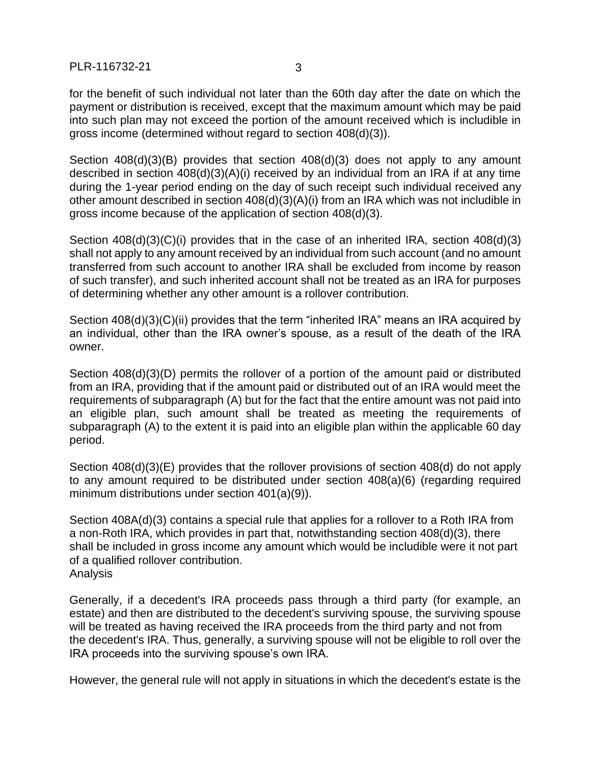PLR-116732-21 3

for the benefit of such individual not later than the 60th day after the date on which the payment or distribution is received, except that the maximum amount which may be paid into such plan may not exceed the portion of the amount received which is includible in gross income (determined without regard to section 408(d)(3)).

Section 408(d)(3)(B) provides that section 408(d)(3) does not apply to any amount described in section 408(d)(3)(A)(i) received by an individual from an IRA if at any time during the 1-year period ending on the day of such receipt such individual received any other amount described in section 408(d)(3)(A)(i) from an IRA which was not includible in gross income because of the application of section 408(d)(3).

Section 408(d)(3)(C)(i) provides that in the case of an inherited IRA, section 408(d)(3) shall not apply to any amount received by an individual from such account (and no amount transferred from such account to another IRA shall be excluded from income by reason of such transfer), and such inherited account shall not be treated as an IRA for purposes of determining whether any other amount is a rollover contribution.

Section 408(d)(3)(C)(ii) provides that the term "inherited IRA" means an IRA acquired by an individual, other than the IRA owner's spouse, as a result of the death of the IRA owner.

Section 408(d)(3)(D) permits the rollover of a portion of the amount paid or distributed from an IRA, providing that if the amount paid or distributed out of an IRA would meet the requirements of subparagraph (A) but for the fact that the entire amount was not paid into an eligible plan, such amount shall be treated as meeting the requirements of subparagraph (A) to the extent it is paid into an eligible plan within the applicable 60 day period.

Section 408(d)(3)(E) provides that the rollover provisions of section 408(d) do not apply to any amount required to be distributed under section 408(a)(6) (regarding required minimum distributions under section 401(a)(9)).

Section 408A(d)(3) contains a special rule that applies for a rollover to a Roth IRA from a non-Roth IRA, which provides in part that, notwithstanding section 408(d)(3), there shall be included in gross income any amount which would be includible were it not part of a qualified rollover contribution. Analysis

Generally, if a decedent's IRA proceeds pass through a third party (for example, an estate) and then are distributed to the decedent's surviving spouse, the surviving spouse will be treated as having received the IRA proceeds from the third party and not from the decedent's IRA. Thus, generally, a surviving spouse will not be eligible to roll over the IRA proceeds into the surviving spouse's own IRA.

However, the general rule will not apply in situations in which the decedent's estate is the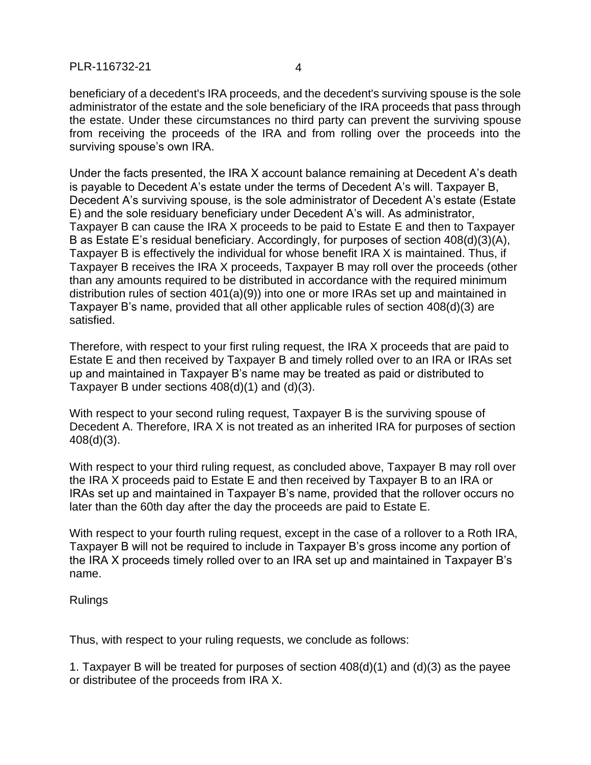beneficiary of a decedent's IRA proceeds, and the decedent's surviving spouse is the sole administrator of the estate and the sole beneficiary of the IRA proceeds that pass through the estate. Under these circumstances no third party can prevent the surviving spouse from receiving the proceeds of the IRA and from rolling over the proceeds into the surviving spouse's own IRA.

Under the facts presented, the IRA X account balance remaining at Decedent A's death is payable to Decedent A's estate under the terms of Decedent A's will. Taxpayer B, Decedent A's surviving spouse, is the sole administrator of Decedent A's estate (Estate E) and the sole residuary beneficiary under Decedent A's will. As administrator, Taxpayer B can cause the IRA X proceeds to be paid to Estate E and then to Taxpayer B as Estate E's residual beneficiary. Accordingly, for purposes of section 408(d)(3)(A), Taxpayer B is effectively the individual for whose benefit IRA X is maintained. Thus, if Taxpayer B receives the IRA X proceeds, Taxpayer B may roll over the proceeds (other than any amounts required to be distributed in accordance with the required minimum distribution rules of section 401(a)(9)) into one or more IRAs set up and maintained in Taxpayer B's name, provided that all other applicable rules of section 408(d)(3) are satisfied.

Therefore, with respect to your first ruling request, the IRA X proceeds that are paid to Estate E and then received by Taxpayer B and timely rolled over to an IRA or IRAs set up and maintained in Taxpayer B's name may be treated as paid or distributed to Taxpayer B under sections 408(d)(1) and (d)(3).

With respect to your second ruling request, Taxpayer B is the surviving spouse of Decedent A. Therefore, IRA X is not treated as an inherited IRA for purposes of section 408(d)(3).

With respect to your third ruling request, as concluded above, Taxpayer B may roll over the IRA X proceeds paid to Estate E and then received by Taxpayer B to an IRA or IRAs set up and maintained in Taxpayer B's name, provided that the rollover occurs no later than the 60th day after the day the proceeds are paid to Estate E.

With respect to your fourth ruling request, except in the case of a rollover to a Roth IRA, Taxpayer B will not be required to include in Taxpayer B's gross income any portion of the IRA X proceeds timely rolled over to an IRA set up and maintained in Taxpayer B's name.

Rulings

Thus, with respect to your ruling requests, we conclude as follows:

1. Taxpayer B will be treated for purposes of section 408(d)(1) and (d)(3) as the payee or distributee of the proceeds from IRA X.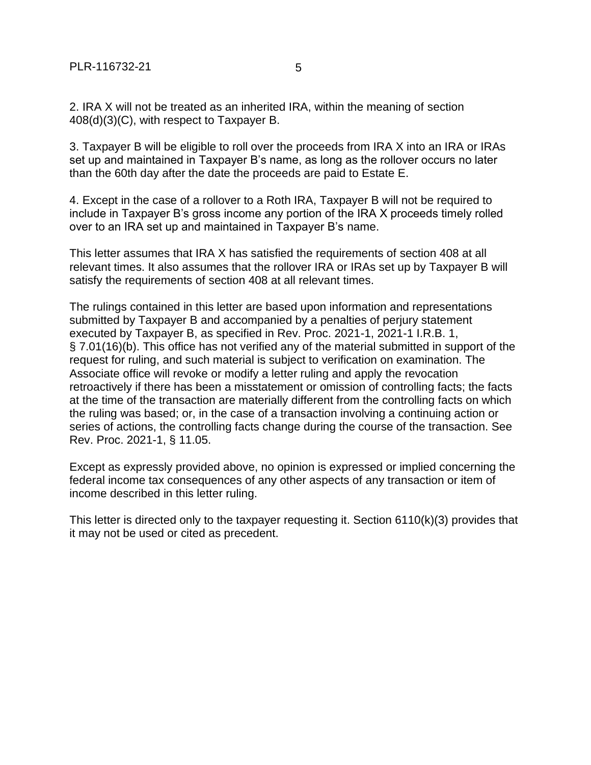2. IRA X will not be treated as an inherited IRA, within the meaning of section 408(d)(3)(C), with respect to Taxpayer B.

3. Taxpayer B will be eligible to roll over the proceeds from IRA X into an IRA or IRAs set up and maintained in Taxpayer B's name, as long as the rollover occurs no later than the 60th day after the date the proceeds are paid to Estate E.

4. Except in the case of a rollover to a Roth IRA, Taxpayer B will not be required to include in Taxpayer B's gross income any portion of the IRA X proceeds timely rolled over to an IRA set up and maintained in Taxpayer B's name.

This letter assumes that IRA X has satisfied the requirements of section 408 at all relevant times. It also assumes that the rollover IRA or IRAs set up by Taxpayer B will satisfy the requirements of section 408 at all relevant times.

The rulings contained in this letter are based upon information and representations submitted by Taxpayer B and accompanied by a penalties of perjury statement executed by Taxpayer B, as specified in Rev. Proc. 2021-1, 2021-1 I.R.B. 1, § 7.01(16)(b). This office has not verified any of the material submitted in support of the request for ruling, and such material is subject to verification on examination. The Associate office will revoke or modify a letter ruling and apply the revocation retroactively if there has been a misstatement or omission of controlling facts; the facts at the time of the transaction are materially different from the controlling facts on which the ruling was based; or, in the case of a transaction involving a continuing action or series of actions, the controlling facts change during the course of the transaction. See Rev. Proc. 2021-1, § 11.05.

Except as expressly provided above, no opinion is expressed or implied concerning the federal income tax consequences of any other aspects of any transaction or item of income described in this letter ruling.

This letter is directed only to the taxpayer requesting it. Section 6110(k)(3) provides that it may not be used or cited as precedent.